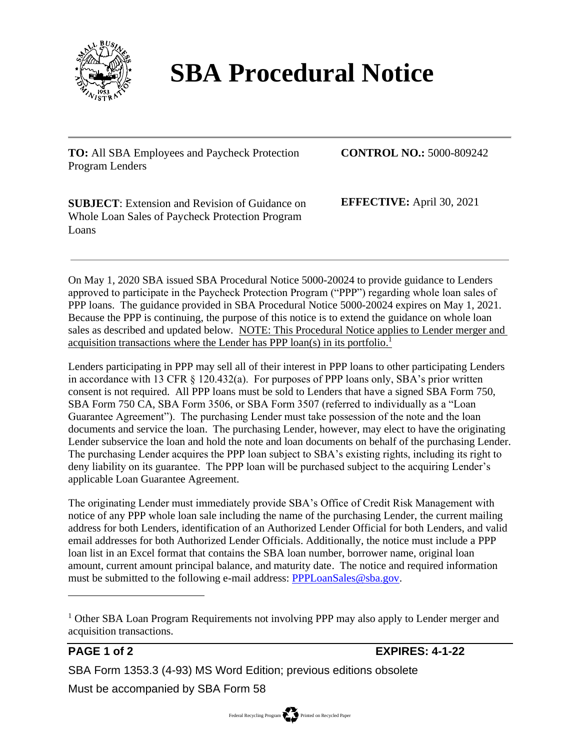

## **SBA Procedural Notice**

**TO:** All SBA Employees and Paycheck Protection Program Lenders

**CONTROL NO.:** 5000-809242

**SUBJECT**: Extension and Revision of Guidance on Whole Loan Sales of Paycheck Protection Program Loans

**EFFECTIVE:** April 30, 2021

On May 1, 2020 SBA issued SBA Procedural Notice 5000-20024 to provide guidance to Lenders approved to participate in the Paycheck Protection Program ("PPP") regarding whole loan sales of PPP loans. The guidance provided in SBA Procedural Notice 5000-20024 expires on May 1, 2021. Because the PPP is continuing, the purpose of this notice is to extend the guidance on whole loan sales as described and updated below. NOTE: This Procedural Notice applies to Lender merger and acquisition transactions where the Lender has PPP loan(s) in its portfolio.<sup>1</sup>

Lenders participating in PPP may sell all of their interest in PPP loans to other participating Lenders in accordance with 13 CFR § 120.432(a). For purposes of PPP loans only, SBA's prior written consent is not required. All PPP loans must be sold to Lenders that have a signed SBA Form 750, SBA Form 750 CA, SBA Form 3506, or SBA Form 3507 (referred to individually as a "Loan Guarantee Agreement"). The purchasing Lender must take possession of the note and the loan documents and service the loan. The purchasing Lender, however, may elect to have the originating Lender subservice the loan and hold the note and loan documents on behalf of the purchasing Lender. The purchasing Lender acquires the PPP loan subject to SBA's existing rights, including its right to deny liability on its guarantee. The PPP loan will be purchased subject to the acquiring Lender's applicable Loan Guarantee Agreement.

The originating Lender must immediately provide SBA's Office of Credit Risk Management with notice of any PPP whole loan sale including the name of the purchasing Lender, the current mailing address for both Lenders, identification of an Authorized Lender Official for both Lenders, and valid email addresses for both Authorized Lender Officials. Additionally, the notice must include a PPP loan list in an Excel format that contains the SBA loan number, borrower name, original loan amount, current amount principal balance, and maturity date. The notice and required information must be submitted to the following e-mail address: [PPPLoanSales@sba.gov.](mailto:PPPLoanSales@sba.gov)

**PAGE 1 of 2 EXPIRES: 4-1-22**

SBA Form 1353.3 (4-93) MS Word Edition; previous editions obsolete

Must be accompanied by SBA Form 58

<sup>&</sup>lt;sup>1</sup> Other SBA Loan Program Requirements not involving PPP may also apply to Lender merger and acquisition transactions.